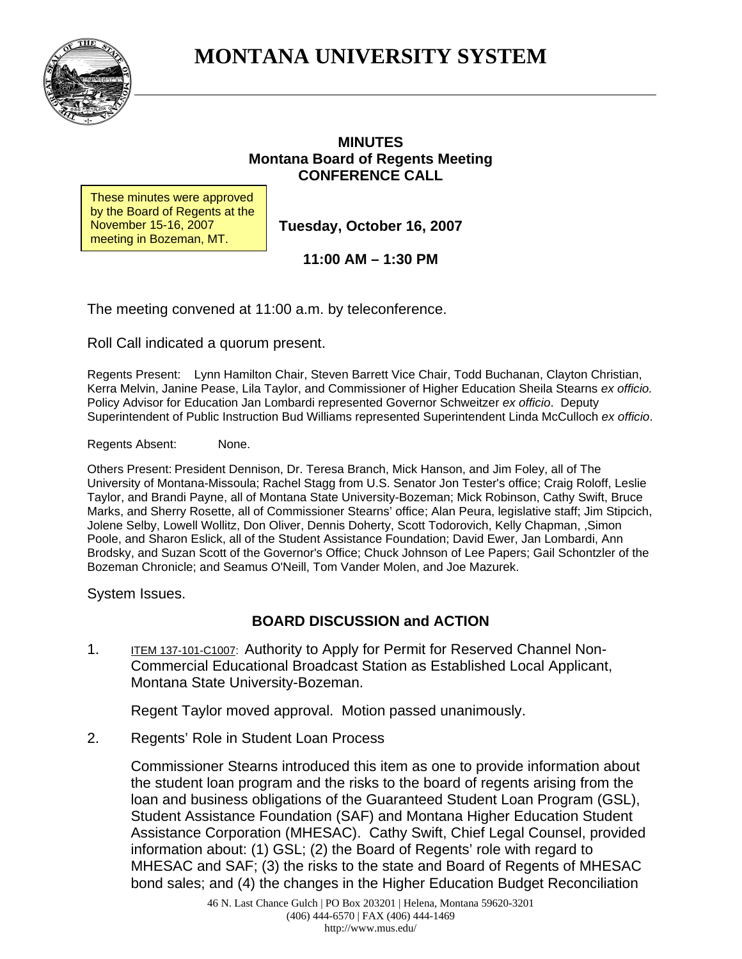**MONTANA UNIVERSITY SYSTEM** 



#### **MINUTES Montana Board of Regents Meeting CONFERENCE CALL**

These minutes were approved by the Board of Regents at the November 15-16, 2007 meeting in Bozeman, MT.

**Tuesday, October 16, 2007** 

**11:00 AM – 1:30 PM** 

The meeting convened at 11:00 a.m. by teleconference.

Roll Call indicated a quorum present.

Regents Present: Lynn Hamilton Chair, Steven Barrett Vice Chair, Todd Buchanan, Clayton Christian, Kerra Melvin, Janine Pease, Lila Taylor, and Commissioner of Higher Education Sheila Stearns *ex officio.* Policy Advisor for Education Jan Lombardi represented Governor Schweitzer *ex officio*. Deputy Superintendent of Public Instruction Bud Williams represented Superintendent Linda McCulloch *ex officio*.

Regents Absent: None.

Others Present: President Dennison, Dr. Teresa Branch, Mick Hanson, and Jim Foley, all of The University of Montana-Missoula; Rachel Stagg from U.S. Senator Jon Tester's office; Craig Roloff, Leslie Taylor, and Brandi Payne, all of Montana State University-Bozeman; Mick Robinson, Cathy Swift, Bruce Marks, and Sherry Rosette, all of Commissioner Stearns' office; Alan Peura, legislative staff; Jim Stipcich, Jolene Selby, Lowell Wollitz, Don Oliver, Dennis Doherty, Scott Todorovich, Kelly Chapman, ,Simon Poole, and Sharon Eslick, all of the Student Assistance Foundation; David Ewer, Jan Lombardi, Ann Brodsky, and Suzan Scott of the Governor's Office; Chuck Johnson of Lee Papers; Gail Schontzler of the Bozeman Chronicle; and Seamus O'Neill, Tom Vander Molen, and Joe Mazurek.

System Issues.

# **BOARD DISCUSSION and ACTION**

1. ITEM 137-101-C1007: Authority to Apply for Permit for Reserved Channel Non-Commercial Educational Broadcast Station as Established Local Applicant, Montana State University-Bozeman.

Regent Taylor moved approval. Motion passed unanimously.

2. Regents' Role in Student Loan Process

Commissioner Stearns introduced this item as one to provide information about the student loan program and the risks to the board of regents arising from the loan and business obligations of the Guaranteed Student Loan Program (GSL), Student Assistance Foundation (SAF) and Montana Higher Education Student Assistance Corporation (MHESAC). Cathy Swift, Chief Legal Counsel, provided information about: (1) GSL; (2) the Board of Regents' role with regard to MHESAC and SAF; (3) the risks to the state and Board of Regents of MHESAC bond sales; and (4) the changes in the Higher Education Budget Reconciliation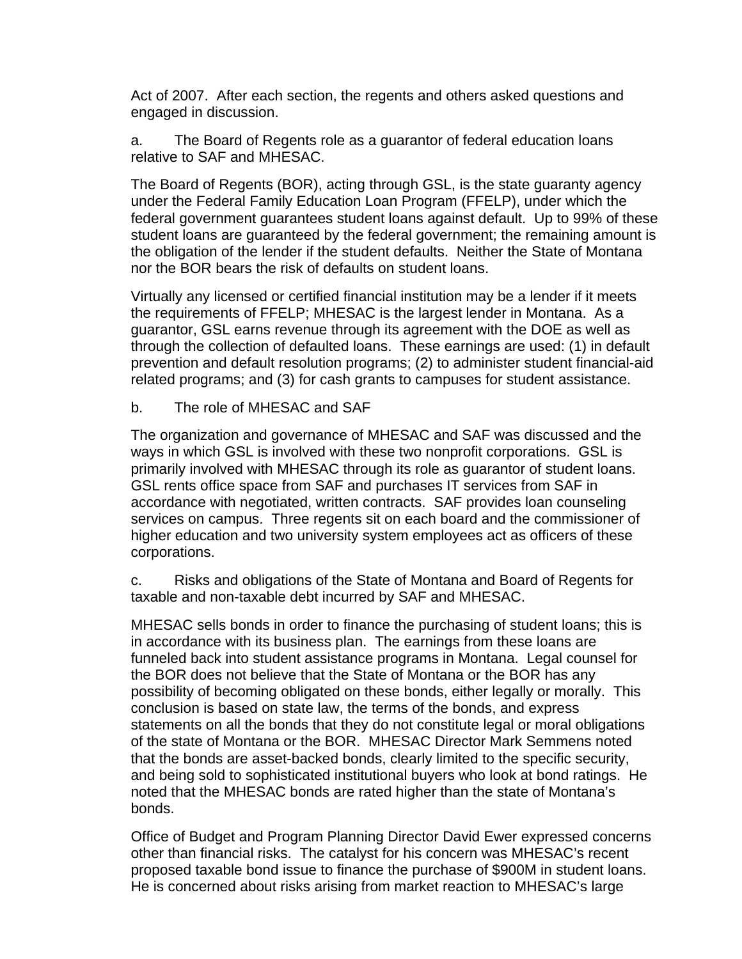Act of 2007. After each section, the regents and others asked questions and engaged in discussion.

a. The Board of Regents role as a guarantor of federal education loans relative to SAF and MHESAC.

The Board of Regents (BOR), acting through GSL, is the state guaranty agency under the Federal Family Education Loan Program (FFELP), under which the federal government guarantees student loans against default. Up to 99% of these student loans are guaranteed by the federal government; the remaining amount is the obligation of the lender if the student defaults. Neither the State of Montana nor the BOR bears the risk of defaults on student loans.

Virtually any licensed or certified financial institution may be a lender if it meets the requirements of FFELP; MHESAC is the largest lender in Montana. As a guarantor, GSL earns revenue through its agreement with the DOE as well as through the collection of defaulted loans. These earnings are used: (1) in default prevention and default resolution programs; (2) to administer student financial-aid related programs; and (3) for cash grants to campuses for student assistance.

## b. The role of MHESAC and SAF

The organization and governance of MHESAC and SAF was discussed and the ways in which GSL is involved with these two nonprofit corporations. GSL is primarily involved with MHESAC through its role as guarantor of student loans. GSL rents office space from SAF and purchases IT services from SAF in accordance with negotiated, written contracts. SAF provides loan counseling services on campus. Three regents sit on each board and the commissioner of higher education and two university system employees act as officers of these corporations.

c. Risks and obligations of the State of Montana and Board of Regents for taxable and non-taxable debt incurred by SAF and MHESAC.

MHESAC sells bonds in order to finance the purchasing of student loans; this is in accordance with its business plan. The earnings from these loans are funneled back into student assistance programs in Montana. Legal counsel for the BOR does not believe that the State of Montana or the BOR has any possibility of becoming obligated on these bonds, either legally or morally. This conclusion is based on state law, the terms of the bonds, and express statements on all the bonds that they do not constitute legal or moral obligations of the state of Montana or the BOR. MHESAC Director Mark Semmens noted that the bonds are asset-backed bonds, clearly limited to the specific security, and being sold to sophisticated institutional buyers who look at bond ratings. He noted that the MHESAC bonds are rated higher than the state of Montana's bonds.

Office of Budget and Program Planning Director David Ewer expressed concerns other than financial risks. The catalyst for his concern was MHESAC's recent proposed taxable bond issue to finance the purchase of \$900M in student loans. He is concerned about risks arising from market reaction to MHESAC's large